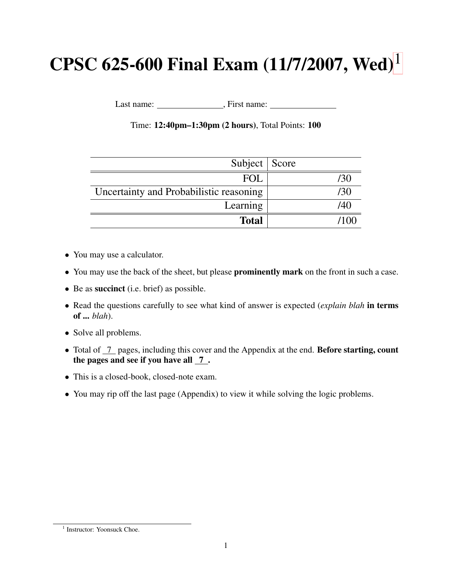# CPSC 625-600 Final Exam  $(11/7/2007,$  $(11/7/2007,$  $(11/7/2007,$  Wed)<sup>1</sup>

Last name: , First name:

Time: 12:40pm–1:30pm (2 hours), Total Points: 100

| Subject   Score                         |       |
|-----------------------------------------|-------|
| FOL.                                    | /30   |
| Uncertainty and Probabilistic reasoning | /30   |
| Learning                                | /40   |
| <b>Total</b>                            | 71 OC |

- You may use a calculator.
- You may use the back of the sheet, but please **prominently mark** on the front in such a case.
- Be as succinct (i.e. brief) as possible.
- Read the questions carefully to see what kind of answer is expected (*explain blah* in terms of ... *blah*).
- Solve all problems.
- Total of 7 pages, including this cover and the Appendix at the end. **Before starting, count** the pages and see if you have all  $\overline{7}$ .
- This is a closed-book, closed-note exam.
- You may rip off the last page (Appendix) to view it while solving the logic problems.

<span id="page-0-0"></span><sup>&</sup>lt;sup>1</sup> Instructor: Yoonsuck Choe.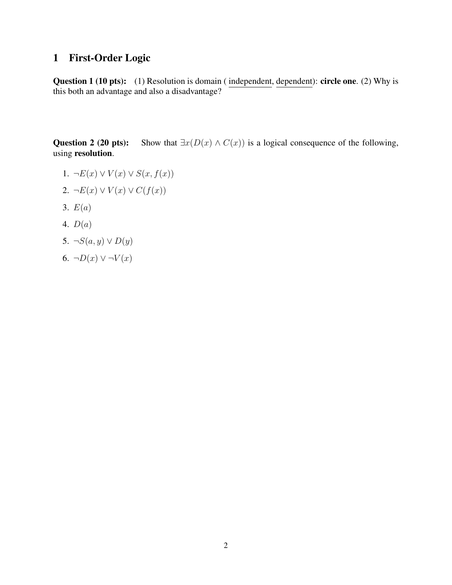## 1 First-Order Logic

Question 1 (10 pts): (1) Resolution is domain (independent, dependent): circle one. (2) Why is this both an advantage and also a disadvantage?

Question 2 (20 pts): Show that  $\exists x(D(x) \land C(x))$  is a logical consequence of the following, using resolution.

- 1.  $\neg E(x) \vee V(x) \vee S(x, f(x))$
- 2.  $\neg E(x) \vee V(x) \vee C(f(x))$
- 3.  $E(a)$
- 4. D(a)
- 5.  $\neg S(a, y) \vee D(y)$
- 6.  $\neg D(x) \vee \neg V(x)$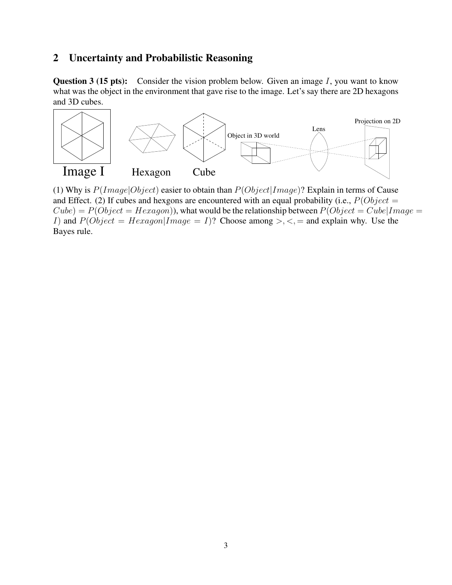### 2 Uncertainty and Probabilistic Reasoning

**Question 3 (15 pts):** Consider the vision problem below. Given an image  $I$ , you want to know what was the object in the environment that gave rise to the image. Let's say there are 2D hexagons and 3D cubes.



(1) Why is  $P(Image|Object)$  easier to obtain than  $P(Object|Image)$ ? Explain in terms of Cause and Effect. (2) If cubes and hexgons are encountered with an equal probability (i.e.,  $P(Object =$  $Cube) = P(Object = Hexagon)$ , what would be the relationship between  $P(Object = Cube | Image =$ I) and  $P(Object = Hexagon|Image = I)$ ? Choose among >, <, = and explain why. Use the Bayes rule.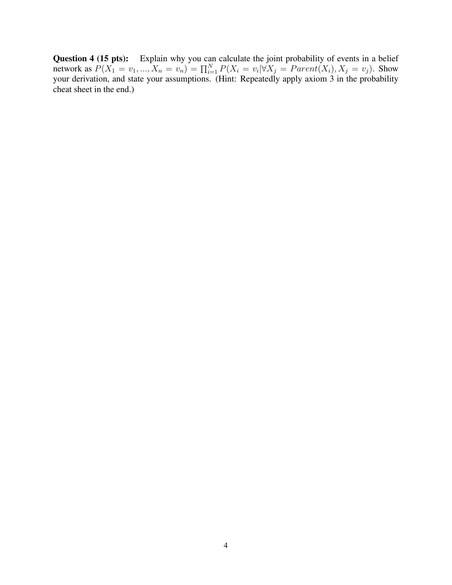**Question 4 (15 pts):** Explain why you can calculate the joint probability of events in a belief network as  $P(X_1 = v_1, ..., X_n = v_n) = \prod_{i=1}^{N} P(X_i = v_i | \forall X_j = Parent(X_i), X_j = v_j)$ . Show your derivation, and state your assumptions. (Hint: Repeatedly apply axiom 3 in the probability cheat sheet in the end.)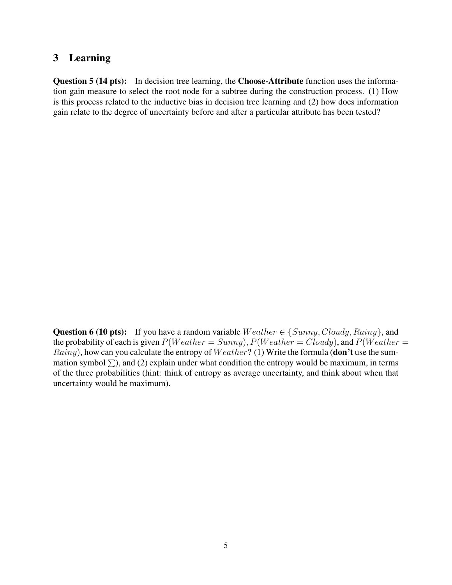#### 3 Learning

Question 5 (14 pts): In decision tree learning, the Choose-Attribute function uses the information gain measure to select the root node for a subtree during the construction process. (1) How is this process related to the inductive bias in decision tree learning and (2) how does information gain relate to the degree of uncertainty before and after a particular attribute has been tested?

Question 6 (10 pts): If you have a random variable  $Weather \in \{Summary, Cloudy, Rainy\}$ , and the probability of each is given  $P(Weather = Sunny)$ ,  $P(Weather = Cloudy)$ , and  $P(Weather =$ *Rainy*), how can you calculate the entropy of  $Weather$ ? (1) Write the formula (don't use the summation symbol  $\Sigma$ ), and (2) explain under what condition the entropy would be maximum, in terms of the three probabilities (hint: think of entropy as average uncertainty, and think about when that uncertainty would be maximum).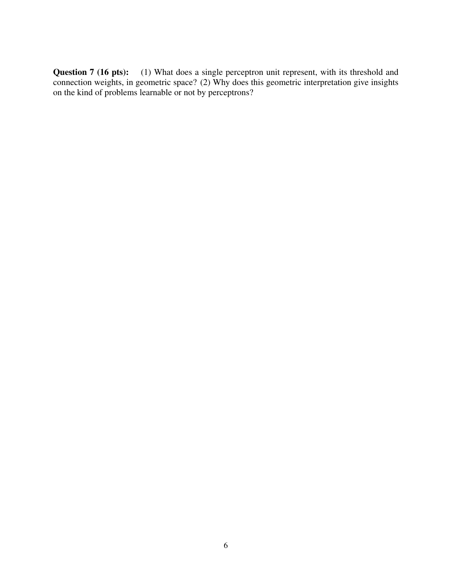Question 7 (16 pts): (1) What does a single perceptron unit represent, with its threshold and connection weights, in geometric space? (2) Why does this geometric interpretation give insights on the kind of problems learnable or not by perceptrons?